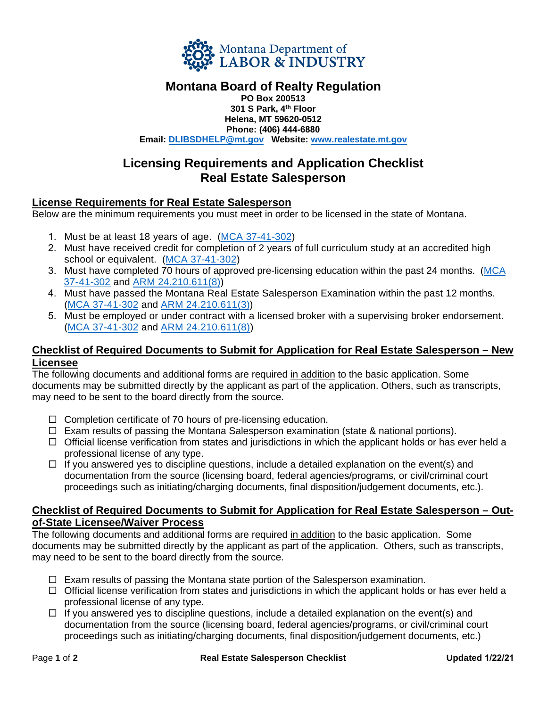

# **Montana Board of Realty Regulation**

**PO Box 200513 301 S Park, 4 th Floor Helena, MT 59620-0512 Phone: (406) 444-6880 Email: DLIBSDHELP[@mt.gov](mailto:DLIBSDLicensingUnitB@mt.gov) Website: ww[w.realestate.mt.gov](http://www.realestate.mt.gov/)**

## **Licensing Requirements and Application Checklist Real Estate Salesperson**

### **License Requirements for Real Estate Salesperson**

Below are the minimum requirements you must meet in order to be licensed in the state of Montana.

- 1. Must be at least 18 years of age. (MCA [37-41-302\)](http://leg.mt.gov/bills/mca/title_0370/chapter_0510/part_0030/section_0020/0370-0510-0030-0020.html)
- 2. Must have received credit for completion of 2 years of full curriculum study at an accredited high school or equivalent. (MCA [37-41-302\)](http://leg.mt.gov/bills/mca/title_0370/chapter_0510/part_0030/section_0020/0370-0510-0030-0020.html)
- 3. Must have completed 70 hours of approved pre-licensing education within the past 24 months. [\(MCA](http://leg.mt.gov/bills/mca/title_0370/chapter_0510/part_0030/section_0020/0370-0510-0030-0020.html) 37-[41-302](http://leg.mt.gov/bills/mca/title_0370/chapter_0510/part_0030/section_0020/0370-0510-0030-0020.html) and ARM [24.210.611\(8\)\)](http://www.mtrules.org/gateway/RuleNo.asp?RN=24%2E210%2E611)
- 4. Must have passed the Montana Real Estate Salesperson Examination within the past 12 months. (MCA [37-41-302](http://leg.mt.gov/bills/mca/title_0370/chapter_0510/part_0030/section_0020/0370-0510-0030-0020.html) and ARM [24.210.611\(3\)\)](http://www.mtrules.org/gateway/RuleNo.asp?RN=24%2E210%2E611)
- 5. Must be employed or under contract with a licensed broker with a supervising broker endorsement. (MCA [37-41-302](http://leg.mt.gov/bills/mca/title_0370/chapter_0510/part_0030/section_0020/0370-0510-0030-0020.html) and ARM [24.210.611\(8\)\)](http://www.mtrules.org/gateway/RuleNo.asp?RN=24%2E210%2E611)

#### **Checklist of Required Documents to Submit for Application for Real Estate Salesperson – New Licensee**

The following documents and additional forms are required in addition to the basic application. Some documents may be submitted directly by the applicant as part of the application. Others, such as transcripts, may need to be sent to the board directly from the source.

- $\Box$  Completion certificate of 70 hours of pre-licensing education.
- $\Box$  Exam results of passing the Montana Salesperson examination (state & national portions).
- $\Box$  Official license verification from states and jurisdictions in which the applicant holds or has ever held a professional license of any type.
- $\Box$  If you answered yes to discipline questions, include a detailed explanation on the event(s) and documentation from the source (licensing board, federal agencies/programs, or civil/criminal court proceedings such as initiating/charging documents, final disposition/judgement documents, etc.).

#### **Checklist of Required Documents to Submit for Application for Real Estate Salesperson – Outof-State Licensee/Waiver Process**

The following documents and additional forms are required in addition to the basic application. Some documents may be submitted directly by the applicant as part of the application. Others, such as transcripts, may need to be sent to the board directly from the source.

- $\Box$  Exam results of passing the Montana state portion of the Salesperson examination.
- $\Box$  Official license verification from states and jurisdictions in which the applicant holds or has ever held a professional license of any type.
- $\Box$  If you answered yes to discipline questions, include a detailed explanation on the event(s) and documentation from the source (licensing board, federal agencies/programs, or civil/criminal court proceedings such as initiating/charging documents, final disposition/judgement documents, etc.)